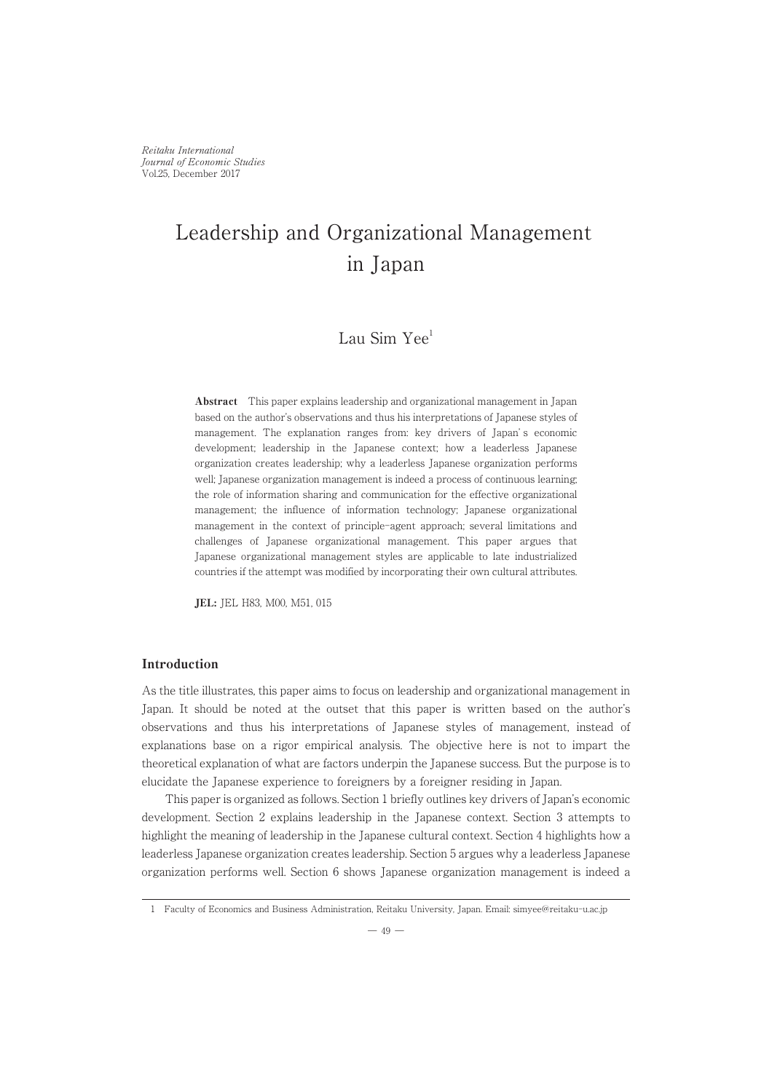Reitaku International Journal of Economic Studies Vol.25, December 2017

# Leadership and Organizational Management in Japan

# Lau Sim Yee<sup>1</sup>

Abstract This paper explains leadership and organizational management in Japan based on the author's observations and thus his interpretations of Japanese styles of management. The explanation ranges from: key drivers of Japan' s economic development; leadership in the Japanese context; how a leaderless Japanese organization creates leadership; why a leaderless Japanese organization performs well; Japanese organization management is indeed a process of continuous learning; the role of information sharing and communication for the effective organizational management; the influence of information technology; Japanese organizational management in the context of principle-agent approach; several limitations and challenges of Japanese organizational management. This paper argues that Japanese organizational management styles are applicable to late industrialized countries if the attempt was modified by incorporating their own cultural attributes.

JEL: JEL H83, M00, M51, 015

# Introduction

As the title illustrates, this paper aims to focus on leadership and organizational management in Japan. It should be noted at the outset that this paper is written based on the author's observations and thus his interpretations of Japanese styles of management, instead of explanations base on a rigor empirical analysis. The objective here is not to impart the theoretical explanation of what are factors underpin the Japanese success. But the purpose is to elucidate the Japanese experience to foreigners by a foreigner residing in Japan.

This paper is organized as follows. Section 1 briefly outlines key drivers of Japan's economic development. Section 2 explains leadership in the Japanese context. Section 3 attempts to highlight the meaning of leadership in the Japanese cultural context. Section 4 highlights how a leaderless Japanese organization creates leadership. Section 5 argues why a leaderless Japanese organization performs well. Section 6 shows Japanese organization management is indeed a

<sup>1</sup> Faculty of Economics and Business Administration, Reitaku University, Japan. Email: simyee@reitaku-u.ac.jp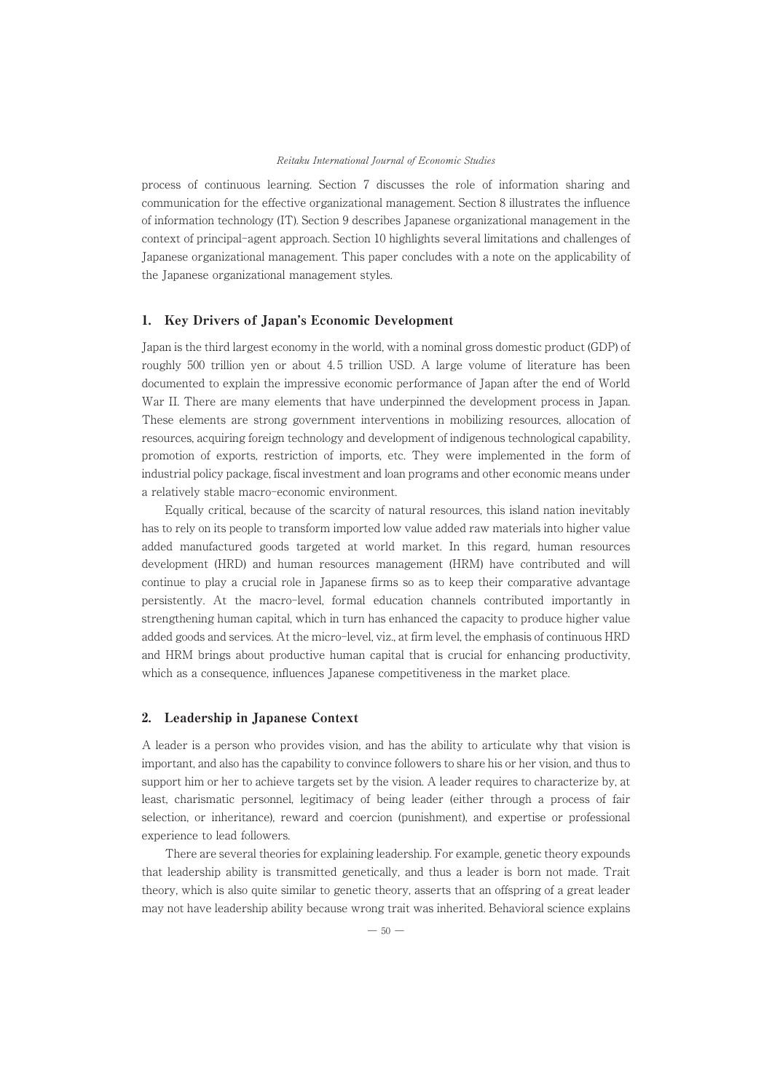process of continuous learning. Section 7 discusses the role of information sharing and communication for the effective organizational management. Section 8 illustrates the influence of information technology (IT). Section 9 describes Japanese organizational management in the context of principal-agent approach. Section 10 highlights several limitations and challenges of Japanese organizational management. This paper concludes with a note on the applicability of the Japanese organizational management styles.

# 1. Key Drivers of Japan's Economic Development

Japan is the third largest economy in the world, with a nominal gross domestic product (GDP) of roughly 500 trillion yen or about 4.5 trillion USD. A large volume of literature has been documented to explain the impressive economic performance of Japan after the end of World War II. There are many elements that have underpinned the development process in Japan. These elements are strong government interventions in mobilizing resources, allocation of resources, acquiring foreign technology and development of indigenous technological capability, promotion of exports, restriction of imports, etc. They were implemented in the form of industrial policy package, fiscal investment and loan programs and other economic means under a relatively stable macro-economic environment.

Equally critical, because of the scarcity of natural resources, this island nation inevitably has to rely on its people to transform imported low value added raw materials into higher value added manufactured goods targeted at world market. In this regard, human resources development (HRD) and human resources management (HRM) have contributed and will continue to play a crucial role in Japanese firms so as to keep their comparative advantage persistently. At the macro-level, formal education channels contributed importantly in strengthening human capital, which in turn has enhanced the capacity to produce higher value added goods and services. At the micro-level, viz., at firm level, the emphasis of continuous HRD and HRM brings about productive human capital that is crucial for enhancing productivity, which as a consequence, influences Japanese competitiveness in the market place.

# 2. Leadership in Japanese Context

A leader is a person who provides vision, and has the ability to articulate why that vision is important, and also has the capability to convince followers to share his or her vision, and thus to support him or her to achieve targets set by the vision. A leader requires to characterize by, at least, charismatic personnel, legitimacy of being leader (either through a process of fair selection, or inheritance), reward and coercion (punishment), and expertise or professional experience to lead followers.

There are several theories for explaining leadership. For example, genetic theory expounds that leadership ability is transmitted genetically, and thus a leader is born not made. Trait theory, which is also quite similar to genetic theory, asserts that an offspring of a great leader may not have leadership ability because wrong trait was inherited. Behavioral science explains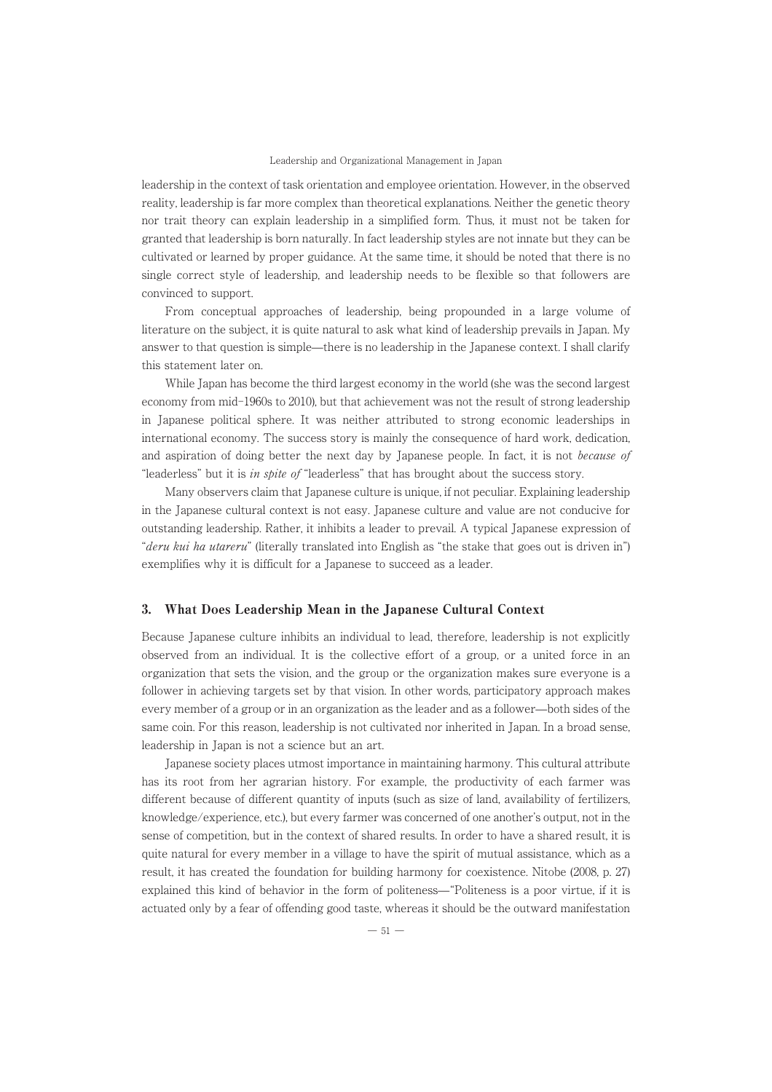leadership in the context of task orientation and employee orientation. However, in the observed reality, leadership is far more complex than theoretical explanations. Neither the genetic theory nor trait theory can explain leadership in a simplified form. Thus, it must not be taken for granted that leadership is born naturally. In fact leadership styles are not innate but they can be cultivated or learned by proper guidance. At the same time, it should be noted that there is no single correct style of leadership, and leadership needs to be flexible so that followers are convinced to support.

From conceptual approaches of leadership, being propounded in a large volume of literature on the subject, it is quite natural to ask what kind of leadership prevails in Japan. My answer to that question is simple̶there is no leadership in the Japanese context. I shall clarify this statement later on.

While Japan has become the third largest economy in the world (she was the second largest economy from mid-1960s to 2010), but that achievement was not the result of strong leadership in Japanese political sphere. It was neither attributed to strong economic leaderships in international economy. The success story is mainly the consequence of hard work, dedication, and aspiration of doing better the next day by Japanese people. In fact, it is not because of "leaderless" but it is in spite of "leaderless" that has brought about the success story.

Many observers claim that Japanese culture is unique, if not peculiar. Explaining leadership in the Japanese cultural context is not easy. Japanese culture and value are not conducive for outstanding leadership. Rather, it inhibits a leader to prevail. A typical Japanese expression of "deru kui ha utareru" (literally translated into English as "the stake that goes out is driven in") exemplifies why it is difficult for a Japanese to succeed as a leader.

#### 3. What Does Leadership Mean in the Japanese Cultural Context

Because Japanese culture inhibits an individual to lead, therefore, leadership is not explicitly observed from an individual. It is the collective effort of a group, or a united force in an organization that sets the vision, and the group or the organization makes sure everyone is a follower in achieving targets set by that vision. In other words, participatory approach makes every member of a group or in an organization as the leader and as a follower̶both sides of the same coin. For this reason, leadership is not cultivated nor inherited in Japan. In a broad sense, leadership in Japan is not a science but an art.

Japanese society places utmost importance in maintaining harmony. This cultural attribute has its root from her agrarian history. For example, the productivity of each farmer was different because of different quantity of inputs (such as size of land, availability of fertilizers, knowledge/experience, etc.), but every farmer was concerned of one another's output, not in the sense of competition, but in the context of shared results. In order to have a shared result, it is quite natural for every member in a village to have the spirit of mutual assistance, which as a result, it has created the foundation for building harmony for coexistence. Nitobe (2008, p. 27) explained this kind of behavior in the form of politeness̶"Politeness is a poor virtue, if it is actuated only by a fear of offending good taste, whereas it should be the outward manifestation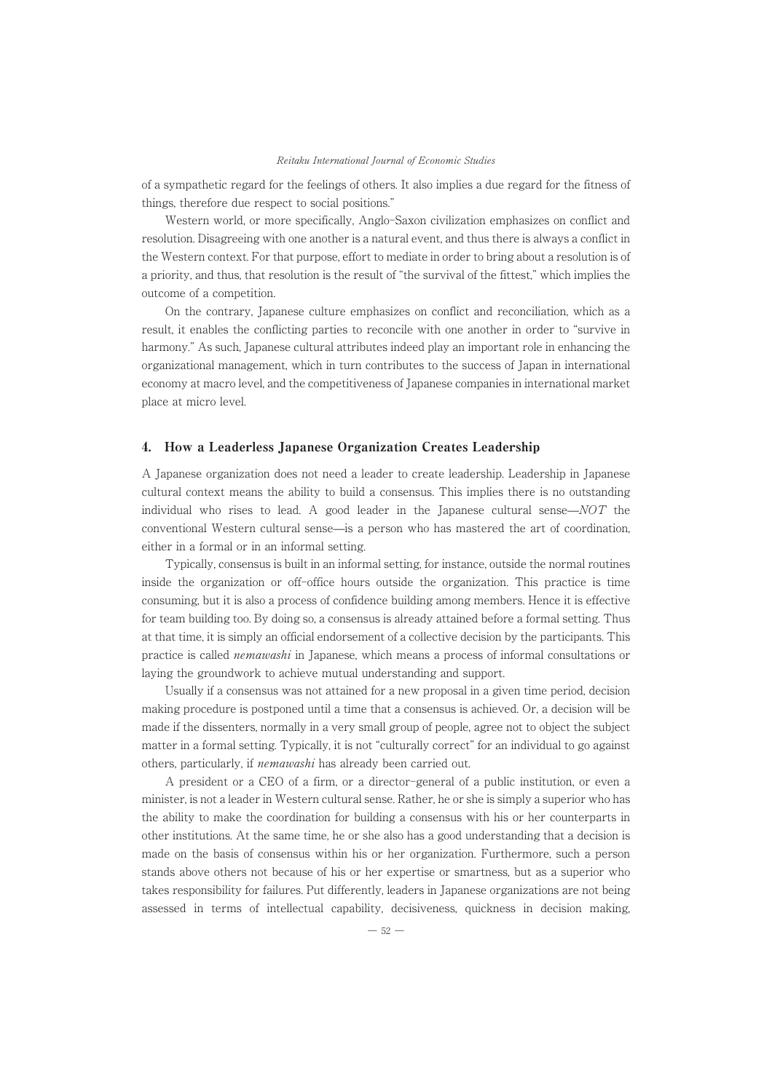of a sympathetic regard for the feelings of others. It also implies a due regard for the fitness of things, therefore due respect to social positions."

Western world, or more specifically, Anglo-Saxon civilization emphasizes on conflict and resolution. Disagreeing with one another is a natural event, and thus there is always a conflict in the Western context. For that purpose, effort to mediate in order to bring about a resolution is of a priority, and thus, that resolution is the result of "the survival of the fittest," which implies the outcome of a competition.

On the contrary, Japanese culture emphasizes on conflict and reconciliation, which as a result, it enables the conflicting parties to reconcile with one another in order to "survive in harmony." As such, Japanese cultural attributes indeed play an important role in enhancing the organizational management, which in turn contributes to the success of Japan in international economy at macro level, and the competitiveness of Japanese companies in international market place at micro level.

#### 4. How a Leaderless Japanese Organization Creates Leadership

A Japanese organization does not need a leader to create leadership. Leadership in Japanese cultural context means the ability to build a consensus. This implies there is no outstanding individual who rises to lead. A good leader in the Japanese cultural sense $-NOT$  the conventional Western cultural sense̶is a person who has mastered the art of coordination, either in a formal or in an informal setting.

Typically, consensus is built in an informal setting, for instance, outside the normal routines inside the organization or off-office hours outside the organization. This practice is time consuming, but it is also a process of confidence building among members. Hence it is effective for team building too. By doing so, a consensus is already attained before a formal setting. Thus at that time, it is simply an official endorsement of a collective decision by the participants. This practice is called nemawashi in Japanese, which means a process of informal consultations or laying the groundwork to achieve mutual understanding and support.

Usually if a consensus was not attained for a new proposal in a given time period, decision making procedure is postponed until a time that a consensus is achieved. Or, a decision will be made if the dissenters, normally in a very small group of people, agree not to object the subject matter in a formal setting. Typically, it is not "culturally correct" for an individual to go against others, particularly, if nemawashi has already been carried out.

A president or a CEO of a firm, or a director-general of a public institution, or even a minister, is not a leader in Western cultural sense. Rather, he or she is simply a superior who has the ability to make the coordination for building a consensus with his or her counterparts in other institutions. At the same time, he or she also has a good understanding that a decision is made on the basis of consensus within his or her organization. Furthermore, such a person stands above others not because of his or her expertise or smartness, but as a superior who takes responsibility for failures. Put differently, leaders in Japanese organizations are not being assessed in terms of intellectual capability, decisiveness, quickness in decision making,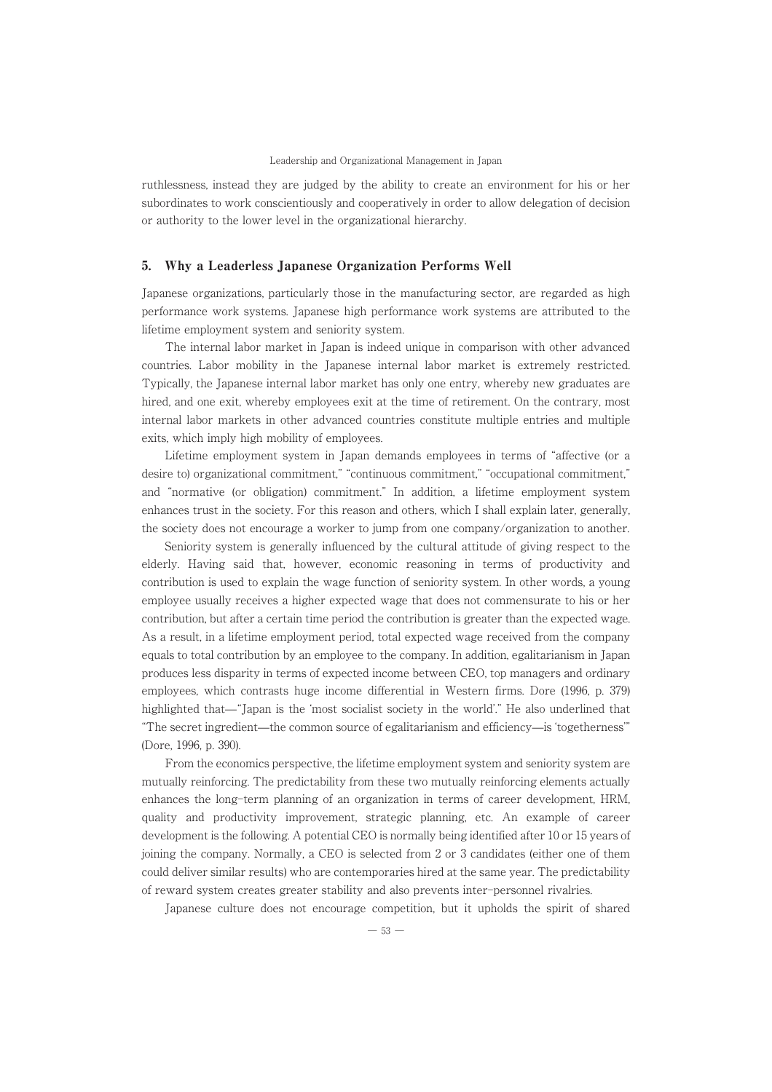ruthlessness, instead they are judged by the ability to create an environment for his or her subordinates to work conscientiously and cooperatively in order to allow delegation of decision or authority to the lower level in the organizational hierarchy.

## 5. Why a Leaderless Japanese Organization Performs Well

Japanese organizations, particularly those in the manufacturing sector, are regarded as high performance work systems. Japanese high performance work systems are attributed to the lifetime employment system and seniority system.

The internal labor market in Japan is indeed unique in comparison with other advanced countries. Labor mobility in the Japanese internal labor market is extremely restricted. Typically, the Japanese internal labor market has only one entry, whereby new graduates are hired, and one exit, whereby employees exit at the time of retirement. On the contrary, most internal labor markets in other advanced countries constitute multiple entries and multiple exits, which imply high mobility of employees.

Lifetime employment system in Japan demands employees in terms of "affective (or a desire to) organizational commitment," "continuous commitment," "occupational commitment," and "normative (or obligation) commitment." In addition, a lifetime employment system enhances trust in the society. For this reason and others, which I shall explain later, generally, the society does not encourage a worker to jump from one company/organization to another.

Seniority system is generally influenced by the cultural attitude of giving respect to the elderly. Having said that, however, economic reasoning in terms of productivity and contribution is used to explain the wage function of seniority system. In other words, a young employee usually receives a higher expected wage that does not commensurate to his or her contribution, but after a certain time period the contribution is greater than the expected wage. As a result, in a lifetime employment period, total expected wage received from the company equals to total contribution by an employee to the company. In addition, egalitarianism in Japan produces less disparity in terms of expected income between CEO, top managers and ordinary employees, which contrasts huge income differential in Western firms. Dore (1996, p. 379) highlighted that—"Japan is the 'most socialist society in the world'." He also underlined that "The secret ingredient̶the common source of egalitarianism and efficiency̶is ʻtogetherness'" (Dore, 1996, p. 390).

From the economics perspective, the lifetime employment system and seniority system are mutually reinforcing. The predictability from these two mutually reinforcing elements actually enhances the long-term planning of an organization in terms of career development, HRM, quality and productivity improvement, strategic planning, etc. An example of career development is the following. A potential CEO is normally being identified after 10 or 15 years of joining the company. Normally, a CEO is selected from 2 or 3 candidates (either one of them could deliver similar results) who are contemporaries hired at the same year. The predictability of reward system creates greater stability and also prevents inter-personnel rivalries.

Japanese culture does not encourage competition, but it upholds the spirit of shared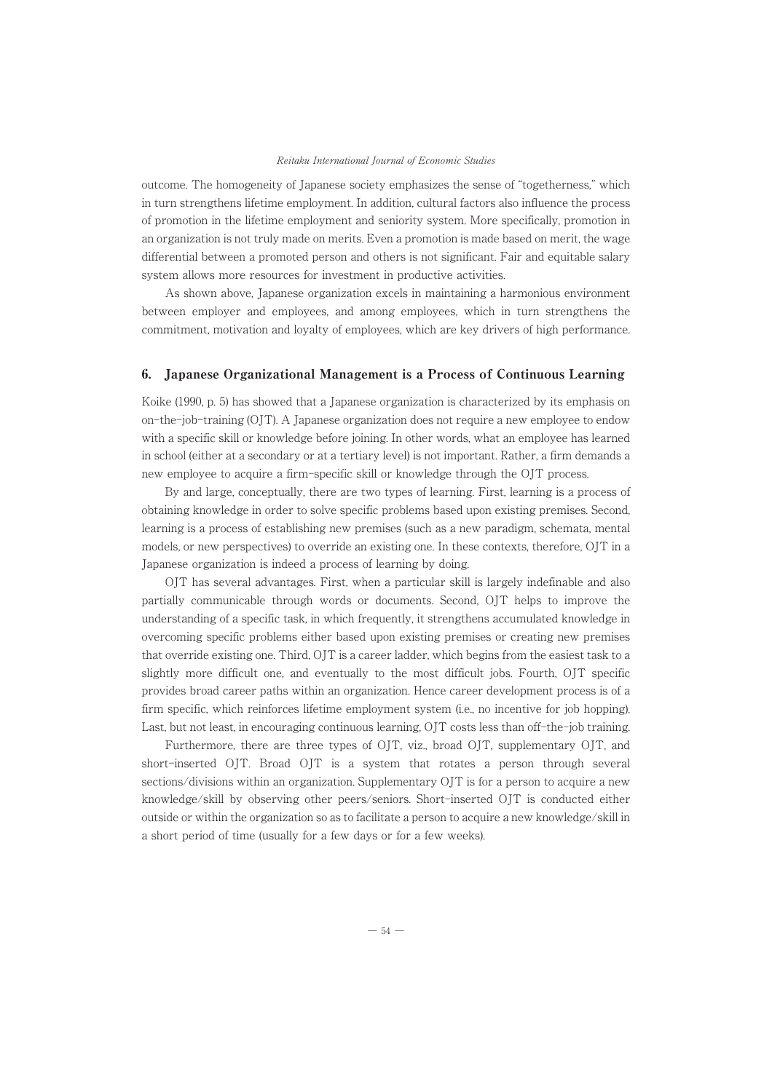outcome. The homogeneity of Japanese society emphasizes the sense of "togetherness," which in turn strengthens lifetime employment. In addition, cultural factors also influence the process of promotion in the lifetime employment and seniority system. More specifically, promotion in an organization is not truly made on merits. Even a promotion is made based on merit, the wage differential between a promoted person and others is not significant. Fair and equitable salary system allows more resources for investment in productive activities.

As shown above, Japanese organization excels in maintaining a harmonious environment between employer and employees, and among employees, which in turn strengthens the commitment, motivation and loyalty of employees, which are key drivers of high performance.

# 6. Japanese Organizational Management is a Process of Continuous Learning

Koike (1990, p. 5) has showed that a Japanese organization is characterized by its emphasis on on-the-job-training (OJT). A Japanese organization does not require a new employee to endow with a specific skill or knowledge before joining. In other words, what an employee has learned in school (either at a secondary or at a tertiary level) is not important. Rather, a firm demands a new employee to acquire a firm-specific skill or knowledge through the OJT process.

By and large, conceptually, there are two types of learning. First, learning is a process of obtaining knowledge in order to solve specific problems based upon existing premises. Second, learning is a process of establishing new premises (such as a new paradigm, schemata, mental models, or new perspectives) to override an existing one. In these contexts, therefore, OJT in a Japanese organization is indeed a process of learning by doing.

OJT has several advantages. First, when a particular skill is largely indefinable and also partially communicable through words or documents. Second, OJT helps to improve the understanding of a specific task, in which frequently, it strengthens accumulated knowledge in overcoming specific problems either based upon existing premises or creating new premises that override existing one. Third, OJT is a career ladder, which begins from the easiest task to a slightly more difficult one, and eventually to the most difficult jobs. Fourth, OJT specific provides broad career paths within an organization. Hence career development process is of a firm specific, which reinforces lifetime employment system (i.e., no incentive for job hopping). Last, but not least, in encouraging continuous learning, OJT costs less than off-the-job training.

Furthermore, there are three types of OJT, viz., broad OJT, supplementary OJT, and short-inserted OJT. Broad OJT is a system that rotates a person through several sections/divisions within an organization. Supplementary OJT is for a person to acquire a new knowledge/skill by observing other peers/seniors. Short-inserted OJT is conducted either outside or within the organization so as to facilitate a person to acquire a new knowledge/skill in a short period of time (usually for a few days or for a few weeks).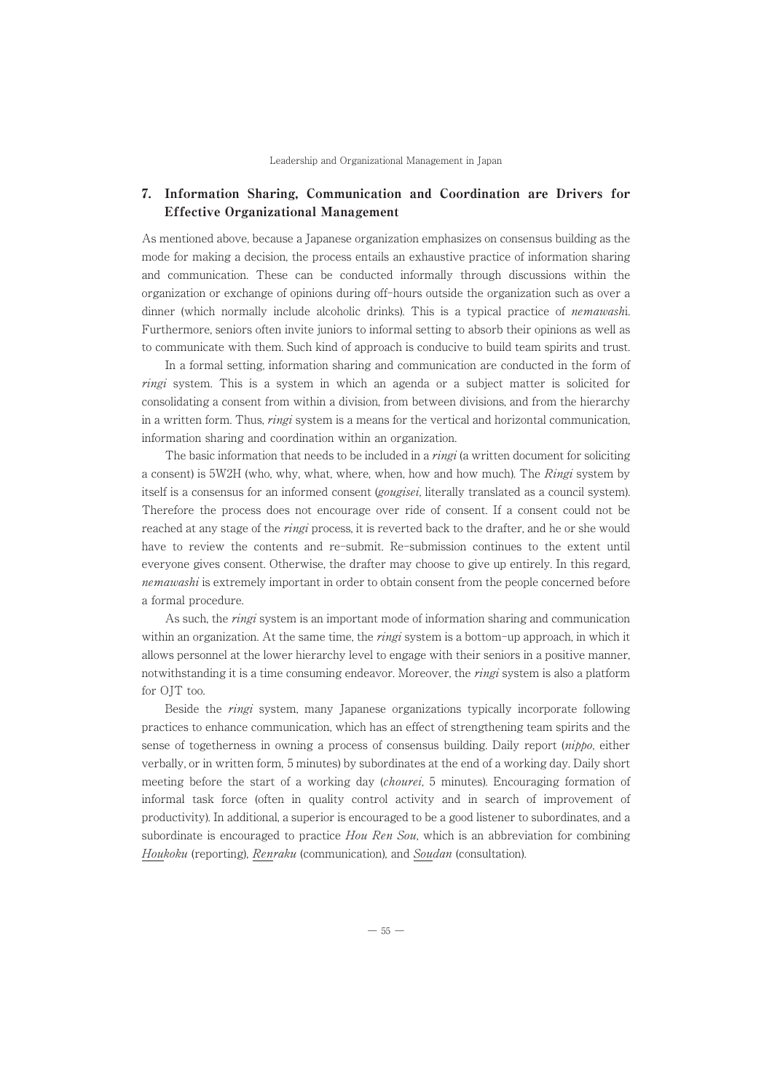# 7. Information Sharing, Communication and Coordination are Drivers for Effective Organizational Management

As mentioned above, because a Japanese organization emphasizes on consensus building as the mode for making a decision, the process entails an exhaustive practice of information sharing and communication. These can be conducted informally through discussions within the organization or exchange of opinions during off-hours outside the organization such as over a dinner (which normally include alcoholic drinks). This is a typical practice of *nemawashi*. Furthermore, seniors often invite juniors to informal setting to absorb their opinions as well as to communicate with them. Such kind of approach is conducive to build team spirits and trust.

In a formal setting, information sharing and communication are conducted in the form of ringi system. This is a system in which an agenda or a subject matter is solicited for consolidating a consent from within a division, from between divisions, and from the hierarchy in a written form. Thus, *ringi* system is a means for the vertical and horizontal communication, information sharing and coordination within an organization.

The basic information that needs to be included in a *ringi* (a written document for soliciting a consent) is 5W2H (who, why, what, where, when, how and how much). The Ringi system by itself is a consensus for an informed consent (*gougisei*, literally translated as a council system). Therefore the process does not encourage over ride of consent. If a consent could not be reached at any stage of the *ringi* process, it is reverted back to the drafter, and he or she would have to review the contents and re-submit. Re-submission continues to the extent until everyone gives consent. Otherwise, the drafter may choose to give up entirely. In this regard, nemawashi is extremely important in order to obtain consent from the people concerned before a formal procedure.

As such, the *ringi* system is an important mode of information sharing and communication within an organization. At the same time, the *ringi* system is a bottom-up approach, in which it allows personnel at the lower hierarchy level to engage with their seniors in a positive manner, notwithstanding it is a time consuming endeavor. Moreover, the *ringi* system is also a platform for OJT too.

Beside the ringi system, many Japanese organizations typically incorporate following practices to enhance communication, which has an effect of strengthening team spirits and the sense of togetherness in owning a process of consensus building. Daily report (nippo, either verbally, or in written form, 5 minutes) by subordinates at the end of a working day. Daily short meeting before the start of a working day *(chourei*, 5 minutes). Encouraging formation of informal task force (often in quality control activity and in search of improvement of productivity). In additional, a superior is encouraged to be a good listener to subordinates, and a subordinate is encouraged to practice  $Hou Ren$  Sou, which is an abbreviation for combining Houkoku (reporting), Renraku (communication), and Soudan (consultation).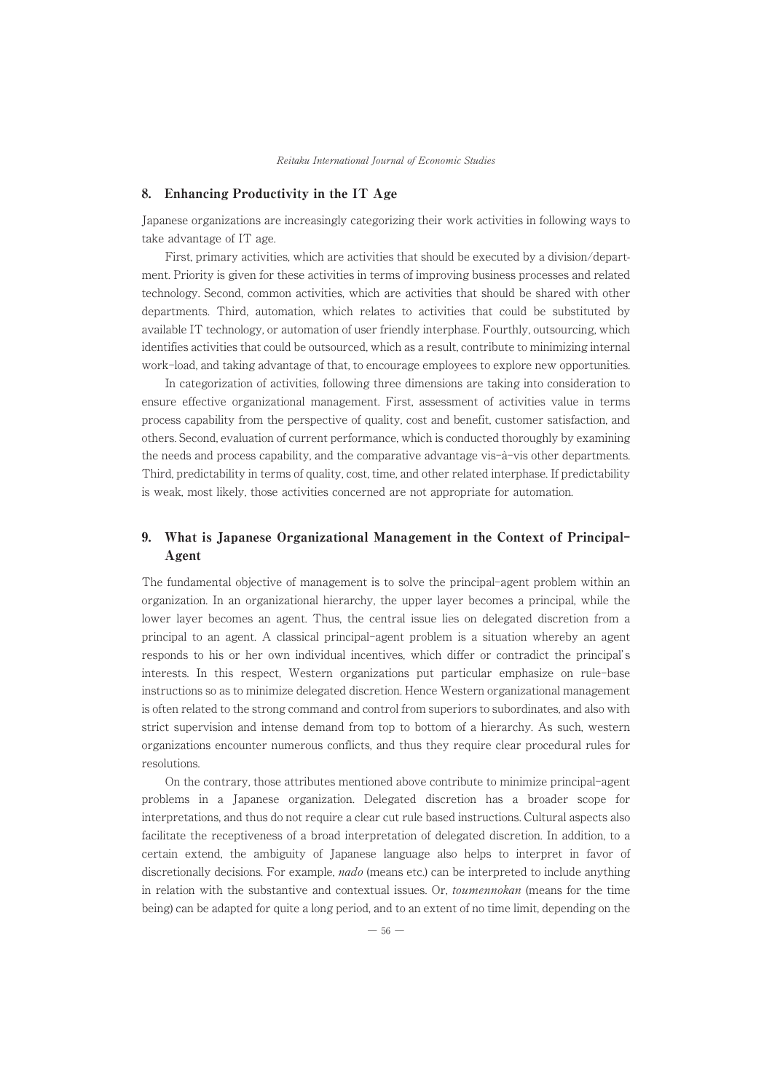## 8. Enhancing Productivity in the IT Age

Japanese organizations are increasingly categorizing their work activities in following ways to take advantage of IT age.

First, primary activities, which are activities that should be executed by a division/department. Priority is given for these activities in terms of improving business processes and related technology. Second, common activities, which are activities that should be shared with other departments. Third, automation, which relates to activities that could be substituted by available IT technology, or automation of user friendly interphase. Fourthly, outsourcing, which identifies activities that could be outsourced, which as a result, contribute to minimizing internal work-load, and taking advantage of that, to encourage employees to explore new opportunities.

In categorization of activities, following three dimensions are taking into consideration to ensure effective organizational management. First, assessment of activities value in terms process capability from the perspective of quality, cost and benefit, customer satisfaction, and others. Second, evaluation of current performance, which is conducted thoroughly by examining the needs and process capability, and the comparative advantage vis-à-vis other departments. Third, predictability in terms of quality, cost, time, and other related interphase. If predictability is weak, most likely, those activities concerned are not appropriate for automation.

# 9. What is Japanese Organizational Management in the Context of Principal-Agent

The fundamental objective of management is to solve the principal-agent problem within an organization. In an organizational hierarchy, the upper layer becomes a principal, while the lower layer becomes an agent. Thus, the central issue lies on delegated discretion from a principal to an agent. A classical principal-agent problem is a situation whereby an agent responds to his or her own individual incentives, which differ or contradict the principal' s interests. In this respect, Western organizations put particular emphasize on rule-base instructions so as to minimize delegated discretion. Hence Western organizational management is often related to the strong command and control from superiors to subordinates, and also with strict supervision and intense demand from top to bottom of a hierarchy. As such, western organizations encounter numerous conflicts, and thus they require clear procedural rules for resolutions.

On the contrary, those attributes mentioned above contribute to minimize principal-agent problems in a Japanese organization. Delegated discretion has a broader scope for interpretations, and thus do not require a clear cut rule based instructions. Cultural aspects also facilitate the receptiveness of a broad interpretation of delegated discretion. In addition, to a certain extend, the ambiguity of Japanese language also helps to interpret in favor of discretionally decisions. For example, *nado* (means etc.) can be interpreted to include anything in relation with the substantive and contextual issues. Or, toumennokan (means for the time being) can be adapted for quite a long period, and to an extent of no time limit, depending on the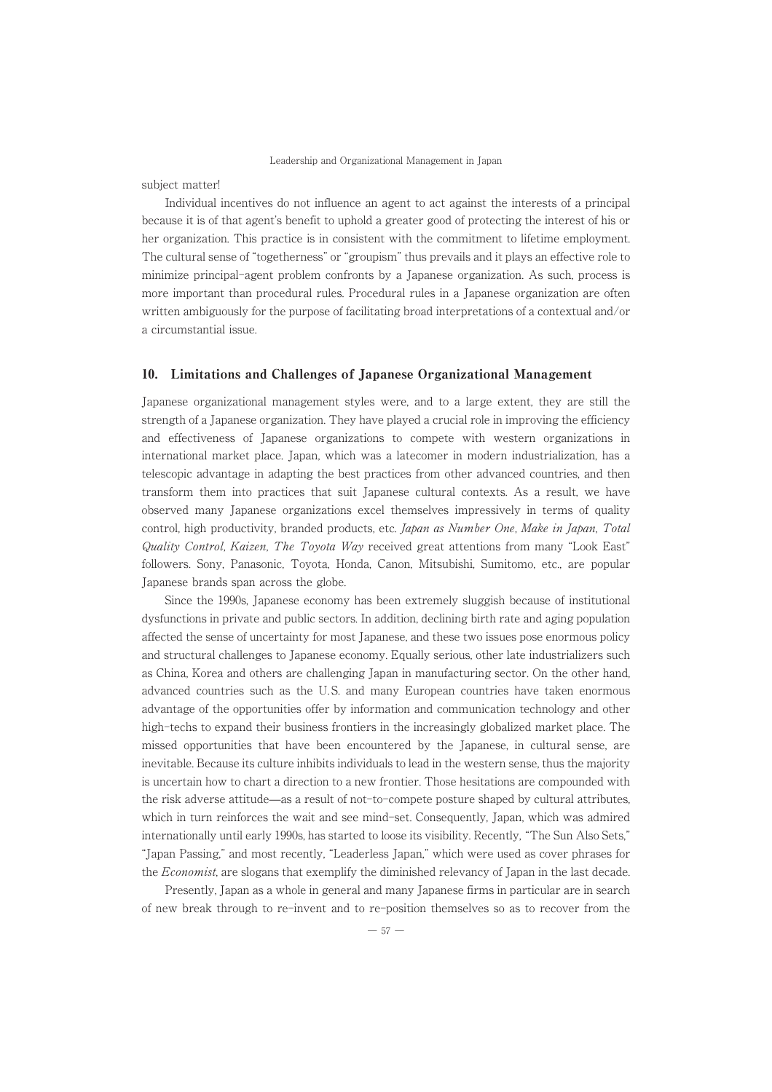subject matter!

Individual incentives do not influence an agent to act against the interests of a principal because it is of that agent's benefit to uphold a greater good of protecting the interest of his or her organization. This practice is in consistent with the commitment to lifetime employment. The cultural sense of "togetherness" or "groupism" thus prevails and it plays an effective role to minimize principal-agent problem confronts by a Japanese organization. As such, process is more important than procedural rules. Procedural rules in a Japanese organization are often written ambiguously for the purpose of facilitating broad interpretations of a contextual and/or a circumstantial issue.

# 10. Limitations and Challenges of Japanese Organizational Management

Japanese organizational management styles were, and to a large extent, they are still the strength of a Japanese organization. They have played a crucial role in improving the efficiency and effectiveness of Japanese organizations to compete with western organizations in international market place. Japan, which was a latecomer in modern industrialization, has a telescopic advantage in adapting the best practices from other advanced countries, and then transform them into practices that suit Japanese cultural contexts. As a result, we have observed many Japanese organizations excel themselves impressively in terms of quality control, high productivity, branded products, etc. Japan as Number One, Make in Japan, Total Quality Control, Kaizen, The Toyota Way received great attentions from many "Look East" followers. Sony, Panasonic, Toyota, Honda, Canon, Mitsubishi, Sumitomo, etc., are popular Japanese brands span across the globe.

Since the 1990s, Japanese economy has been extremely sluggish because of institutional dysfunctions in private and public sectors. In addition, declining birth rate and aging population affected the sense of uncertainty for most Japanese, and these two issues pose enormous policy and structural challenges to Japanese economy. Equally serious, other late industrializers such as China, Korea and others are challenging Japan in manufacturing sector. On the other hand, advanced countries such as the U. S. and many European countries have taken enormous advantage of the opportunities offer by information and communication technology and other high-techs to expand their business frontiers in the increasingly globalized market place. The missed opportunities that have been encountered by the Japanese, in cultural sense, are inevitable. Because its culture inhibits individuals to lead in the western sense, thus the majority is uncertain how to chart a direction to a new frontier. Those hesitations are compounded with the risk adverse attitude̶as a result of not-to-compete posture shaped by cultural attributes, which in turn reinforces the wait and see mind-set. Consequently, Japan, which was admired internationally until early 1990s, has started to loose its visibility. Recently, "The Sun Also Sets," "Japan Passing," and most recently, "Leaderless Japan," which were used as cover phrases for the Economist, are slogans that exemplify the diminished relevancy of Japan in the last decade.

Presently, Japan as a whole in general and many Japanese firms in particular are in search of new break through to re-invent and to re-position themselves so as to recover from the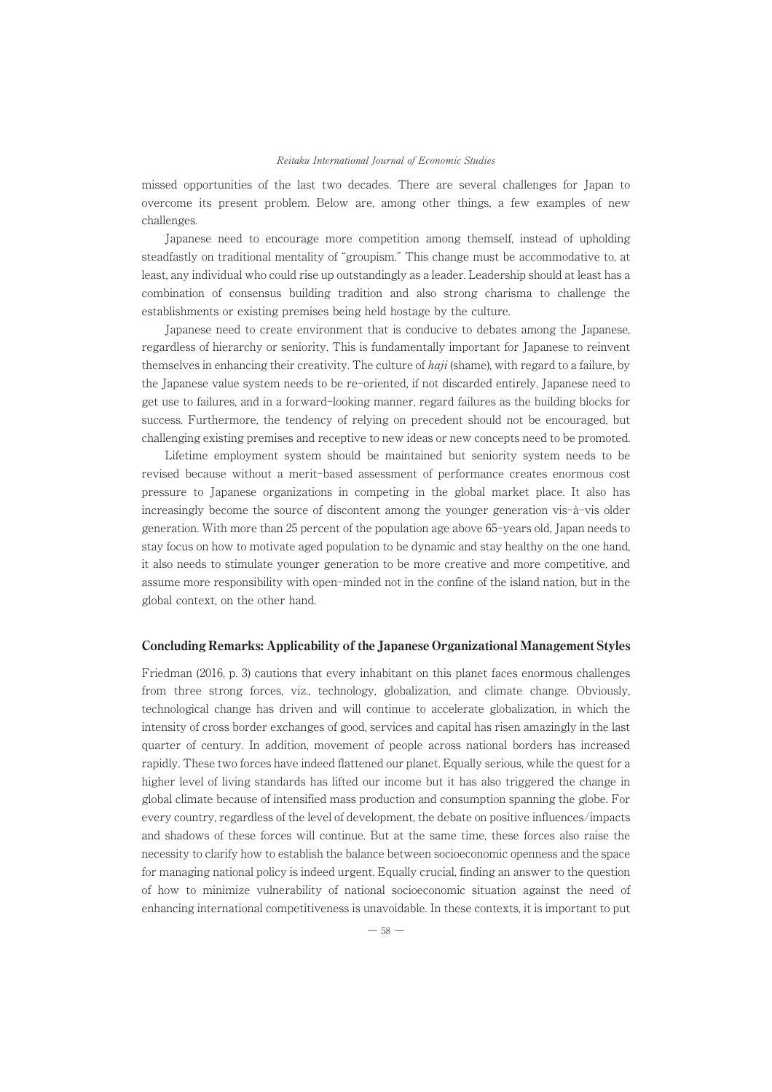missed opportunities of the last two decades. There are several challenges for Japan to overcome its present problem. Below are, among other things, a few examples of new challenges.

Japanese need to encourage more competition among themself, instead of upholding steadfastly on traditional mentality of "groupism." This change must be accommodative to, at least, any individual who could rise up outstandingly as a leader. Leadership should at least has a combination of consensus building tradition and also strong charisma to challenge the establishments or existing premises being held hostage by the culture.

Japanese need to create environment that is conducive to debates among the Japanese, regardless of hierarchy or seniority. This is fundamentally important for Japanese to reinvent themselves in enhancing their creativity. The culture of  $haji$  (shame), with regard to a failure, by the Japanese value system needs to be re-oriented, if not discarded entirely. Japanese need to get use to failures, and in a forward-looking manner, regard failures as the building blocks for success. Furthermore, the tendency of relying on precedent should not be encouraged, but challenging existing premises and receptive to new ideas or new concepts need to be promoted.

Lifetime employment system should be maintained but seniority system needs to be revised because without a merit-based assessment of performance creates enormous cost pressure to Japanese organizations in competing in the global market place. It also has increasingly become the source of discontent among the younger generation vis-à-vis older generation. With more than 25 percent of the population age above 65-years old, Japan needs to stay focus on how to motivate aged population to be dynamic and stay healthy on the one hand, it also needs to stimulate younger generation to be more creative and more competitive, and assume more responsibility with open-minded not in the confine of the island nation, but in the global context, on the other hand.

#### Concluding Remarks: Applicability of the Japanese Organizational Management Styles

Friedman (2016, p. 3) cautions that every inhabitant on this planet faces enormous challenges from three strong forces, viz., technology, globalization, and climate change. Obviously, technological change has driven and will continue to accelerate globalization, in which the intensity of cross border exchanges of good, services and capital has risen amazingly in the last quarter of century. In addition, movement of people across national borders has increased rapidly. These two forces have indeed flattened our planet. Equally serious, while the quest for a higher level of living standards has lifted our income but it has also triggered the change in global climate because of intensified mass production and consumption spanning the globe. For every country, regardless of the level of development, the debate on positive influences/impacts and shadows of these forces will continue. But at the same time, these forces also raise the necessity to clarify how to establish the balance between socioeconomic openness and the space for managing national policy is indeed urgent. Equally crucial, finding an answer to the question of how to minimize vulnerability of national socioeconomic situation against the need of enhancing international competitiveness is unavoidable. In these contexts, it is important to put